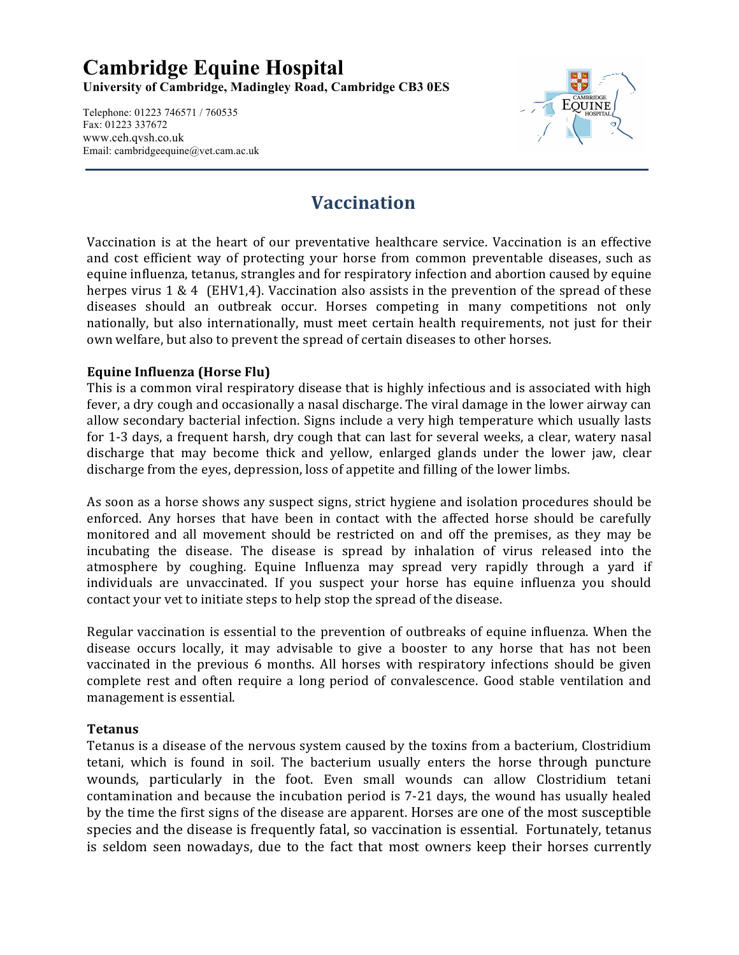### **Cambridge Equine Hospital University of Cambridge, Madingley Road, Cambridge CB3 0ES**

Telephone: 01223 746571 / 760535 Fax: 01223 337672 www.ceh.qvsh.co.uk Email: cambridgeequine@vet.cam.ac.uk



# **Vaccination**

Vaccination is at the heart of our preventative healthcare service. Vaccination is an effective and cost efficient way of protecting your horse from common preventable diseases, such as equine influenza, tetanus, strangles and for respiratory infection and abortion caused by equine herpes virus  $1 \& 4$  (EHV1,4). Vaccination also assists in the prevention of the spread of these diseases should an outbreak occur. Horses competing in many competitions not only nationally, but also internationally, must meet certain health requirements, not just for their own welfare, but also to prevent the spread of certain diseases to other horses.

#### **Equine Influenza (Horse Flu)**

This is a common viral respiratory disease that is highly infectious and is associated with high fever, a dry cough and occasionally a nasal discharge. The viral damage in the lower airway can allow secondary bacterial infection. Signs include a very high temperature which usually lasts for 1-3 days, a frequent harsh, dry cough that can last for several weeks, a clear, watery nasal discharge that may become thick and yellow, enlarged glands under the lower jaw, clear discharge from the eyes, depression, loss of appetite and filling of the lower limbs.

As soon as a horse shows any suspect signs, strict hygiene and isolation procedures should be enforced. Any horses that have been in contact with the affected horse should be carefully monitored and all movement should be restricted on and off the premises, as they may be incubating the disease. The disease is spread by inhalation of virus released into the atmosphere by coughing. Equine Influenza may spread very rapidly through a yard if individuals are unvaccinated. If you suspect your horse has equine influenza you should contact your vet to initiate steps to help stop the spread of the disease.

Regular vaccination is essential to the prevention of outbreaks of equine influenza. When the disease occurs locally, it may advisable to give a booster to any horse that has not been vaccinated in the previous 6 months. All horses with respiratory infections should be given complete rest and often require a long period of convalescence. Good stable ventilation and management is essential.

#### **Tetanus!**

Tetanus is a disease of the nervous system caused by the toxins from a bacterium, Clostridium tetani, which is found in soil. The bacterium usually enters the horse through puncture wounds, particularly in the foot. Even small wounds can allow Clostridium tetani contamination and because the incubation period is 7-21 days, the wound has usually healed by the time the first signs of the disease are apparent. Horses are one of the most susceptible species and the disease is frequently fatal, so vaccination is essential. Fortunately, tetanus is seldom seen nowadays, due to the fact that most owners keep their horses currently